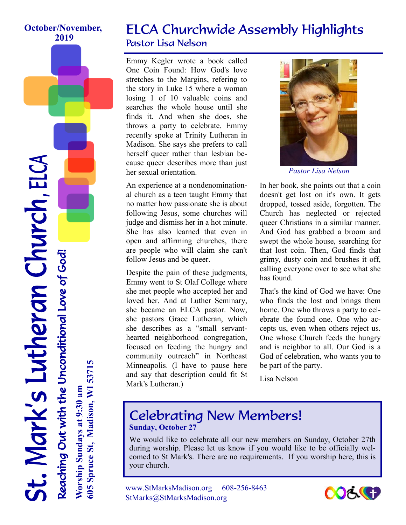#### **October/November, 2019**

### ELCA Churchwide Assembly Highlights Pastor Lisa Nelson

Emmy Kegler wrote a book called One Coin Found: How God's love stretches to the Margins, refering to the story in Luke 15 where a woman losing 1 of 10 valuable coins and searches the whole house until she finds it. And when she does, she throws a party to celebrate. Emmy recently spoke at Trinity Lutheran in Madison. She says she prefers to call herself queer rather than lesbian because queer describes more than just her sexual orientation.

An experience at a nondenominational church as a teen taught Emmy that no matter how passionate she is about following Jesus, some churches will judge and dismiss her in a hot minute. She has also learned that even in open and affirming churches, there are people who will claim she can't follow Jesus and be queer.

Despite the pain of these judgments, Emmy went to St Olaf College where she met people who accepted her and loved her. And at Luther Seminary, she became an ELCA pastor. Now, she pastors Grace Lutheran, which she describes as a "small servanthearted neighborhood congregation, focused on feeding the hungry and community outreach" in Northeast Minneapolis. (I have to pause here and say that description could fit St Mark's Lutheran.)



*Pastor Lisa Nelson* 

In her book, she points out that a coin doesn't get lost on it's own. It gets dropped, tossed aside, forgotten. The Church has neglected or rejected queer Christians in a similar manner. And God has grabbed a broom and swept the whole house, searching for that lost coin. Then, God finds that grimy, dusty coin and brushes it off, calling everyone over to see what she has found.

That's the kind of God we have: One who finds the lost and brings them home. One who throws a party to celebrate the found one. One who accepts us, even when others reject us. One whose Church feeds the hungry and is neighbor to all. Our God is a God of celebration, who wants you to be part of the party.

Lisa Nelson

### Celebrating New Members! **Sunday, October 27**

We would like to celebrate all our new members on Sunday, October 27th during worship. Please let us know if you would like to be officially welcomed to St Mark's. There are no requirements. If you worship here, this is your church.

www.StMarksMadison.org 608-256-8463 StMarks@StMarksMadison.org



t. Mark's Lutheran Church, ELCA Reaching Out with the Unconditional Love of God! **Worship Sundays at 9:30 am** Reaching Out with the Unconditional Love of God!

**605 Spruce St, Madison, WI 53715**

605 Spruce St, Madison, WI 53715

Worship Sundays at 9:30 am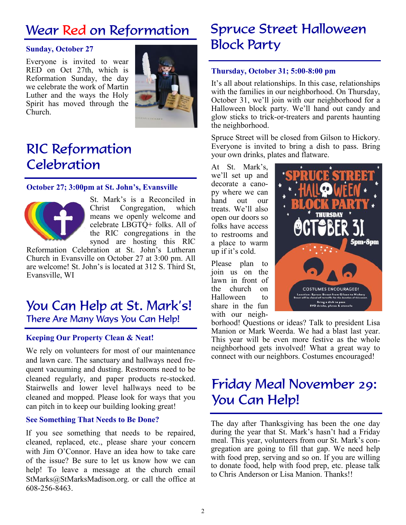## Wear Red on Reformation

#### **Sunday, October 27**

Everyone is invited to wear RED on Oct 27th, which is Reformation Sunday, the day we celebrate the work of Martin Luther and the ways the Holy Spirit has moved through the Church.



## RIC Reformation **Celebration**

#### **October 27; 3:00pm at St. John's, Evansville**



St. Mark's is a Reconciled in Christ Congregation, which means we openly welcome and celebrate LBGTQ+ folks. All of the RIC congregations in the synod are hosting this RIC

Reformation Celebration at St. John's Lutheran Church in Evansville on October 27 at 3:00 pm. All are welcome! St. John's is located at 312 S. Third St, Evansville, WI

### You Can Help at St. Mark's! There Are Many Ways You Can Help!

#### **Keeping Our Property Clean & Neat!**

We rely on volunteers for most of our maintenance and lawn care. The sanctuary and hallways need frequent vacuuming and dusting. Restrooms need to be cleaned regularly, and paper products re-stocked. Stairwells and lower level hallways need to be cleaned and mopped. Please look for ways that you can pitch in to keep our building looking great!

#### **See Something That Needs to Be Done?**

If you see something that needs to be repaired, cleaned, replaced, etc., please share your concern with Jim O'Connor. Have an idea how to take care of the issue? Be sure to let us know how we can help! To leave a message at the church email StMarks@StMarksMadison.org. or call the office at 608-256-8463.

### Spruce Street Halloween Block Party

#### **Thursday, October 31; 5:00-8:00 pm**

It's all about relationships. In this case, relationships with the families in our neighborhood. On Thursday, October 31, we'll join with our neighborhood for a Halloween block party. We'll hand out candy and glow sticks to trick-or-treaters and parents haunting the neighborhood.

Spruce Street will be closed from Gilson to Hickory. Everyone is invited to bring a dish to pass. Bring your own drinks, plates and flatware.

At St. Mark's, we'll set up and decorate a canopy where we can hand out our treats. We'll also open our doors so folks have access to restrooms and a place to warm up if it's cold.

Please plan to join us on the lawn in front of the church on Halloween to share in the fun with our neigh-



borhood! Questions or ideas? Talk to president Lisa Manion or Mark Weerda. We had a blast last year. This year will be even more festive as the whole neighborhood gets involved! What a great way to connect with our neighbors. Costumes encouraged!

## Friday Meal November 29: You Can Help!

The day after Thanksgiving has been the one day during the year that St. Mark's hasn't had a Friday meal. This year, volunteers from our St. Mark's congregation are going to fill that gap. We need help with food prep, serving and so on. If you are willing to donate food, help with food prep, etc. please talk to Chris Anderson or Lisa Manion. Thanks!!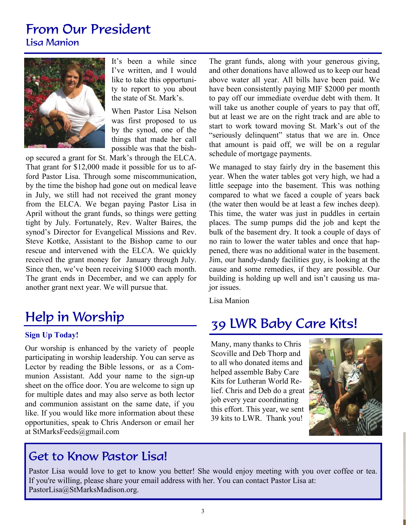# From Our President

Lisa Manion



It's been a while since I've written, and I would like to take this opportunity to report to you about the state of St. Mark's.

When Pastor Lisa Nelson was first proposed to us by the synod, one of the things that made her call possible was that the bish-

op secured a grant for St. Mark's through the ELCA. That grant for \$12,000 made it possible for us to afford Pastor Lisa. Through some miscommunication, by the time the bishop had gone out on medical leave in July, we still had not received the grant money from the ELCA. We began paying Pastor Lisa in April without the grant funds, so things were getting tight by July. Fortunately, Rev. Walter Baires, the synod's Director for Evangelical Missions and Rev. Steve Kottke, Assistant to the Bishop came to our rescue and intervened with the ELCA. We quickly received the grant money for January through July. Since then, we've been receiving \$1000 each month. The grant ends in December, and we can apply for another grant next year. We will pursue that.

# Help in Worship

#### **Sign Up Today!**

Our worship is enhanced by the variety of people participating in worship leadership. You can serve as Lector by reading the Bible lessons, or as a Communion Assistant. Add your name to the sign-up sheet on the office door. You are welcome to sign up for multiple dates and may also serve as both lector and communion assistant on the same date, if you like. If you would like more information about these opportunities, speak to Chris Anderson or email her at StMarksFeeds@gmail.com

The grant funds, along with your generous giving, and other donations have allowed us to keep our head above water all year. All bills have been paid. We have been consistently paying MIF \$2000 per month to pay off our immediate overdue debt with them. It will take us another couple of years to pay that off, but at least we are on the right track and are able to start to work toward moving St. Mark's out of the "seriously delinquent" status that we are in. Once that amount is paid off, we will be on a regular schedule of mortgage payments.

We managed to stay fairly dry in the basement this year. When the water tables got very high, we had a little seepage into the basement. This was nothing compared to what we faced a couple of years back (the water then would be at least a few inches deep). This time, the water was just in puddles in certain places. The sump pumps did the job and kept the bulk of the basement dry. It took a couple of days of no rain to lower the water tables and once that happened, there was no additional water in the basement. Jim, our handy-dandy facilities guy, is looking at the cause and some remedies, if they are possible. Our building is holding up well and isn't causing us major issues.

Lisa Manion

### 39 LWR Baby Care Kits!

Many, many thanks to Chris Scoville and Deb Thorp and to all who donated items and helped assemble Baby Care Kits for Lutheran World Relief. Chris and Deb do a great job every year coordinating this effort. This year, we sent 39 kits to LWR. Thank you!



### Get to Know Pastor Lisa!

Pastor Lisa would love to get to know you better! She would enjoy meeting with you over coffee or tea. If you're willing, please share your email address with her. You can contact Pastor Lisa at: PastorLisa@StMarksMadison.org.